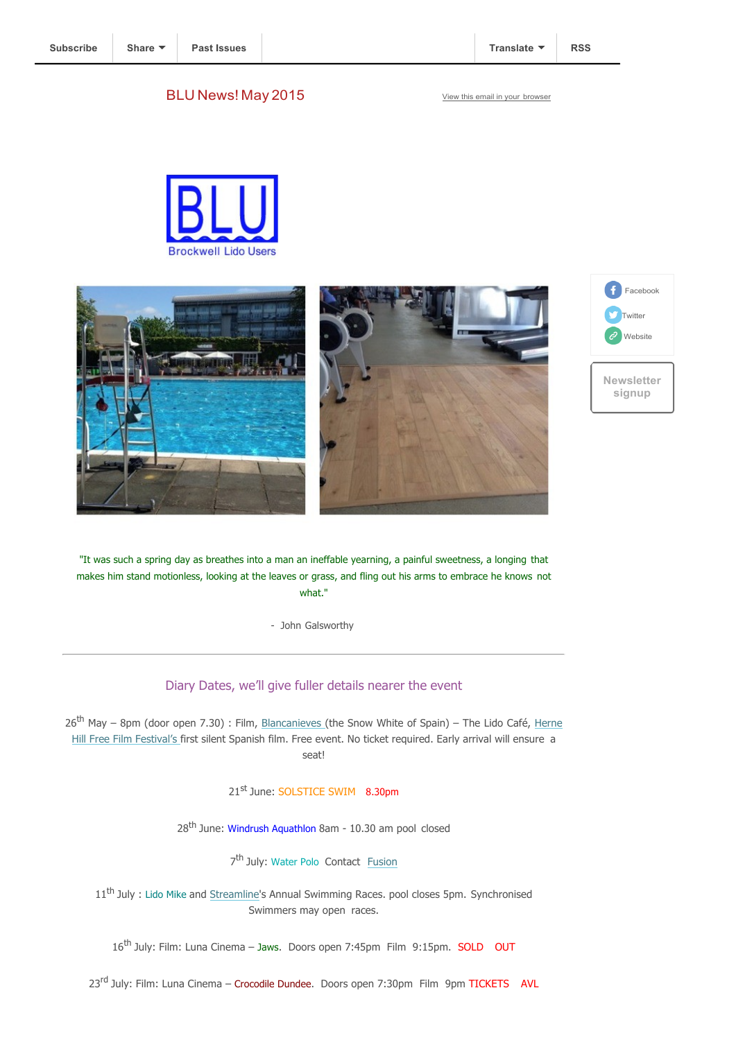### BLU News! May 2015 View this email in your browser









"It was such a spring day as breathes into a man an ineffable yearning, a painful sweetness, a longing that makes him stand motionless, looking at the leaves or grass, and fling out his arms to embrace he knows not what."

- John Galsworthy

## Diary Dates, we'll give fuller details nearer the event

26<sup>th</sup> May – 8pm (door open 7.30) : Film, Blancanieves (the Snow White of Spain) – The Lido Café, Herne Hill Free Film Festival's first silent Spanish film. Free event. No ticket required. Early arrival will ensure a seat!

21<sup>st</sup> June: SOLSTICE SWIM 8.30pm

28<sup>th</sup> June: Windrush Aquathlon 8am - 10.30 am pool closed

7<sup>th</sup> July: Water Polo Contact Fusion

11<sup>th</sup> July : Lido Mike and Streamline's Annual Swimming Races. pool closes 5pm. Synchronised Swimmers may open races.

16<sup>th</sup> July: Film: Luna Cinema - Jaws. Doors open 7:45pm Film 9:15pm. SOLD OUT

23<sup>rd</sup> July: Film: Luna Cinema - Crocodile Dundee. Doors open 7:30pm Film 9pm TICKETS AVL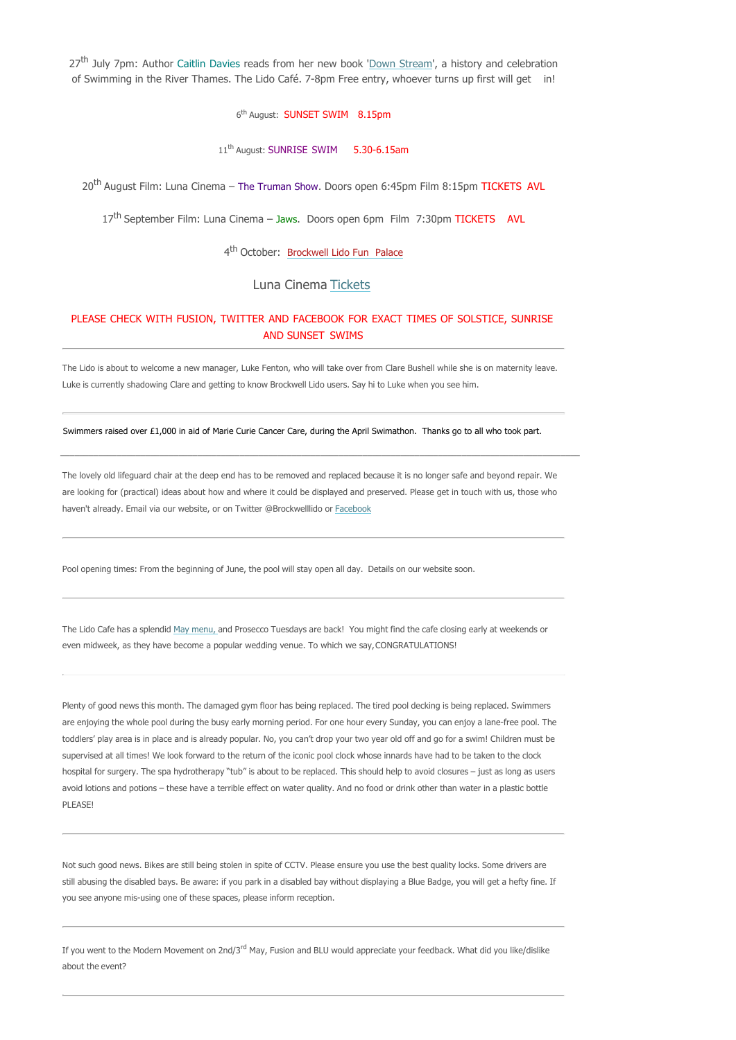27<sup>th</sup> July 7pm: Author Caitlin Davies reads from her new book 'Down Stream', a history and celebration of Swimming in the River Thames. The Lido Café. 7-8pm Free entry, whoever turns up first will get in!

### 6<sup>th</sup> August: **SUNSET SWIM** 8.15pm

#### 11<sup>th</sup> August: SUNRISE SWIM 5.30-6.15am

20<sup>th</sup> August Film: Luna Cinema – The Truman Show. Doors open 6:45pm Film 8:15pm TICKETS AVL

17<sup>th</sup> September Film: Luna Cinema - Jaws. Doors open 6pm Film 7:30pm TICKETS AVL

4<sup>th</sup> October: Brockwell Lido Fun Palace

### Luna Cinema Tickets

### PLEASE CHECK WITH FUSION, TWITTER AND FACEBOOK FOR EXACT TIMES OF SOLSTICE, SUNRISE AND SUNSET SWIMS

The Lido is about to welcome a new manager, Luke Fenton, who will take over from Clare Bushell while she is on maternity leave. Luke is currently shadowing Clare and getting to know Brockwell Lido users. Say hi to Luke when you see him.

#### Swimmers raised over £1,000 in aid of Marie Curie Cancer Care, during the April Swimathon. Thanks go to all who took part.

The lovely old lifeguard chair at the deep end has to be removed and replaced because it is no longer safe and beyond repair. We are looking for (practical) ideas about how and where it could be displayed and preserved. Please get in touch with us, those who haven't already. Email via our website, or on Twitter @Brockwelllido or Facebook

\_\_\_\_\_\_\_\_\_\_\_\_\_\_\_\_\_\_\_\_\_\_\_\_\_\_\_\_\_\_\_\_\_\_\_\_\_\_\_\_\_\_\_\_\_\_\_\_\_\_\_\_\_\_\_\_\_\_\_\_\_\_\_\_\_\_\_\_\_\_\_\_\_\_\_\_\_\_\_\_\_\_\_\_\_\_\_\_\_\_\_\_\_\_\_\_\_\_\_\_\_\_\_\_\_\_\_\_\_\_

Pool opening times: From the beginning of June, the pool will stay open all day. Details on our website soon.

The Lido Cafe has a splendid May menu, and Prosecco Tuesdays are back! You might find the cafe closing early at weekends or even midweek, as they have become a popular wedding venue. To which we say, CONGRATULATIONS!

Plenty of good news this month. The damaged gym floor has being replaced. The tired pool decking is being replaced. Swimmers are enjoying the whole pool during the busy early morning period. For one hour every Sunday, you can enjoy a lane-free pool. The toddlers' play area is in place and is already popular. No, you can't drop your two year old off and go for a swim! Children must be supervised at all times! We look forward to the return of the iconic pool clock whose innards have had to be taken to the clock hospital for surgery. The spa hydrotherapy "tub" is about to be replaced. This should help to avoid closures – just as long as users avoid lotions and potions – these have a terrible effect on water quality. And no food or drink other than water in a plastic bottle PLEASE!

Not such good news. Bikes are still being stolen in spite of CCTV. Please ensure you use the best quality locks. Some drivers are still abusing the disabled bays. Be aware: if you park in a disabled bay without displaying a Blue Badge, you will get a hefty fine. If you see anyone mis-using one of these spaces, please inform reception.

If you went to the Modern Movement on 2nd/3<sup>rd</sup> May, Fusion and BLU would appreciate your feedback. What did you like/dislike about the event?